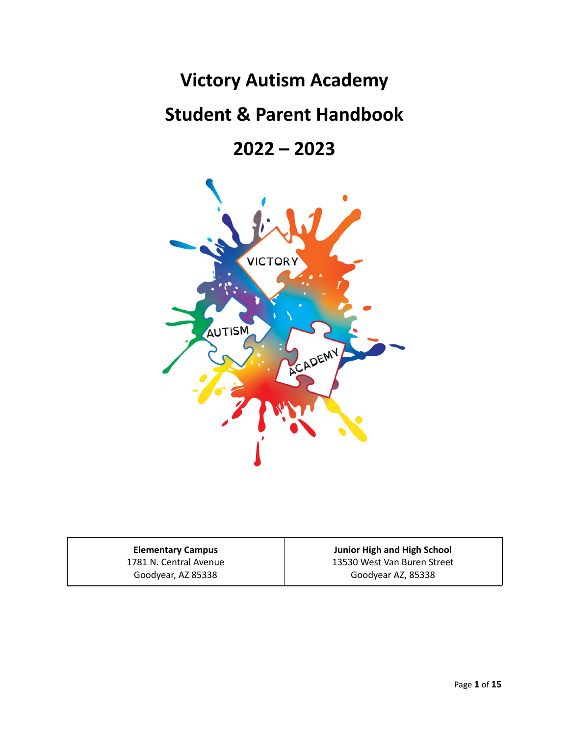# **Victory Autism Academy**

# **Student & Parent Handbook**

**2022 – 2023**



**Elementary Campus** 1781 N. Central Avenue Goodyear, AZ 85338

**Junior High and High School** 13530 West Van Buren Street Goodyear AZ, 85338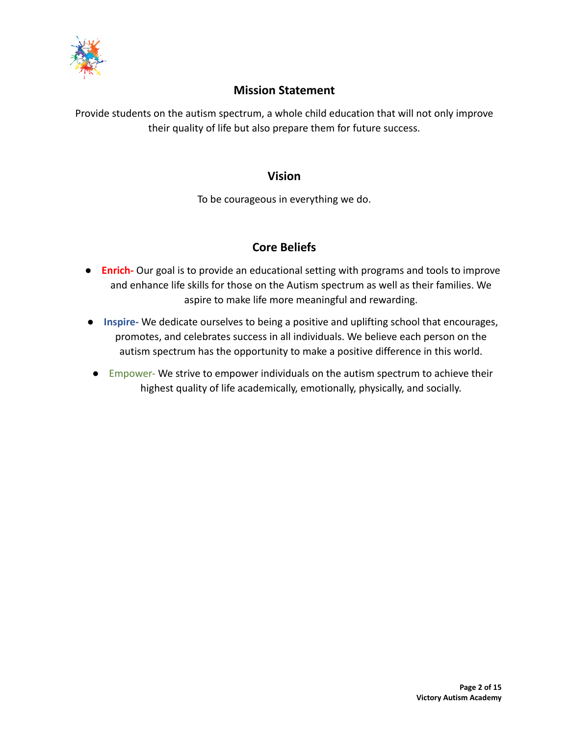

# **Mission Statement**

Provide students on the autism spectrum, a whole child education that will not only improve their quality of life but also prepare them for future success.

# **Vision**

To be courageous in everything we do.

# **Core Beliefs**

- **Enrich-** Our goal is to provide an educational setting with programs and tools to improve and enhance life skills for those on the Autism spectrum as well as their families. We aspire to make life more meaningful and rewarding.
- **Inspire-** We dedicate ourselves to being a positive and uplifting school that encourages, promotes, and celebrates success in all individuals. We believe each person on the autism spectrum has the opportunity to make a positive difference in this world.
- Empower- We strive to empower individuals on the autism spectrum to achieve their highest quality of life academically, emotionally, physically, and socially.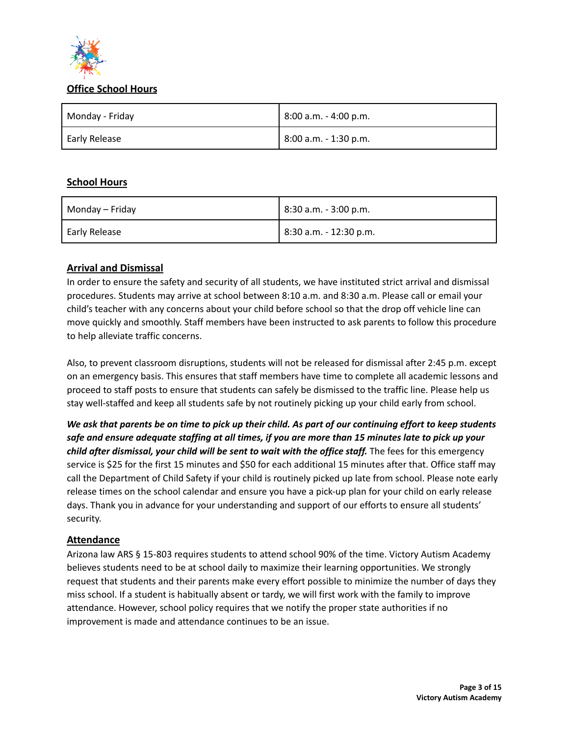

#### **Office School Hours**

| Monday - Friday | 8:00 a.m. - 4:00 p.m. |
|-----------------|-----------------------|
| Early Release   | 8:00 a.m. - 1:30 p.m. |

# **School Hours**

| Monday – Friday | $ 8:30$ a.m. - 3:00 p.m. |
|-----------------|--------------------------|
| Early Release   | 18:30 a.m. - 12:30 p.m.  |

# **Arrival and Dismissal**

In order to ensure the safety and security of all students, we have instituted strict arrival and dismissal procedures. Students may arrive at school between 8:10 a.m. and 8:30 a.m. Please call or email your child's teacher with any concerns about your child before school so that the drop off vehicle line can move quickly and smoothly. Staff members have been instructed to ask parents to follow this procedure to help alleviate traffic concerns.

Also, to prevent classroom disruptions, students will not be released for dismissal after 2:45 p.m. except on an emergency basis. This ensures that staff members have time to complete all academic lessons and proceed to staff posts to ensure that students can safely be dismissed to the traffic line. Please help us stay well-staffed and keep all students safe by not routinely picking up your child early from school.

We ask that parents be on time to pick up their child. As part of our continuing effort to keep students safe and ensure adequate staffing at all times, if you are more than 15 minutes late to pick up your *child after dismissal, your child will be sent to wait with the office staff.* The fees for this emergency service is \$25 for the first 15 minutes and \$50 for each additional 15 minutes after that. Office staff may call the Department of Child Safety if your child is routinely picked up late from school. Please note early release times on the school calendar and ensure you have a pick-up plan for your child on early release days. Thank you in advance for your understanding and support of our efforts to ensure all students' security.

# **Attendance**

Arizona law ARS § 15-803 requires students to attend school 90% of the time. Victory Autism Academy believes students need to be at school daily to maximize their learning opportunities. We strongly request that students and their parents make every effort possible to minimize the number of days they miss school. If a student is habitually absent or tardy, we will first work with the family to improve attendance. However, school policy requires that we notify the proper state authorities if no improvement is made and attendance continues to be an issue.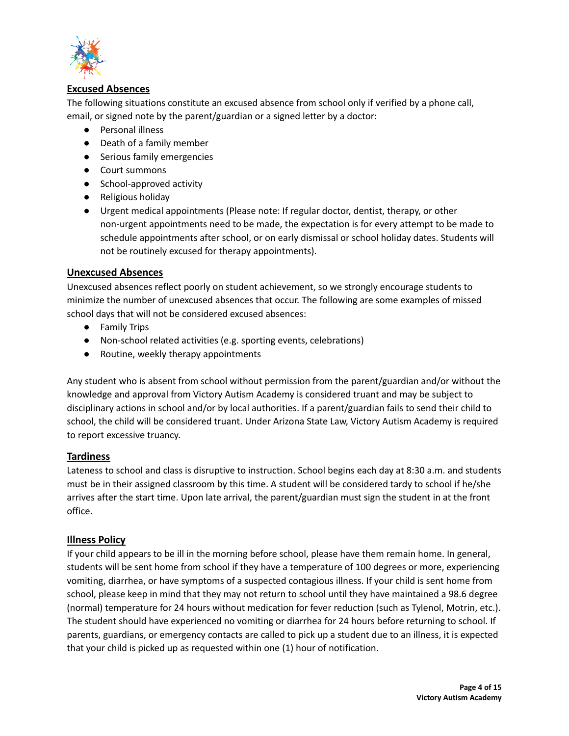

# **Excused Absences**

The following situations constitute an excused absence from school only if verified by a phone call, email, or signed note by the parent/guardian or a signed letter by a doctor:

- Personal illness
- Death of a family member
- Serious family emergencies
- Court summons
- School-approved activity
- Religious holiday
- Urgent medical appointments (Please note: If regular doctor, dentist, therapy, or other non-urgent appointments need to be made, the expectation is for every attempt to be made to schedule appointments after school, or on early dismissal or school holiday dates. Students will not be routinely excused for therapy appointments).

# **Unexcused Absences**

Unexcused absences reflect poorly on student achievement, so we strongly encourage students to minimize the number of unexcused absences that occur. The following are some examples of missed school days that will not be considered excused absences:

- Family Trips
- Non-school related activities (e.g. sporting events, celebrations)
- Routine, weekly therapy appointments

Any student who is absent from school without permission from the parent/guardian and/or without the knowledge and approval from Victory Autism Academy is considered truant and may be subject to disciplinary actions in school and/or by local authorities. If a parent/guardian fails to send their child to school, the child will be considered truant. Under Arizona State Law, Victory Autism Academy is required to report excessive truancy.

# **Tardiness**

Lateness to school and class is disruptive to instruction. School begins each day at 8:30 a.m. and students must be in their assigned classroom by this time. A student will be considered tardy to school if he/she arrives after the start time. Upon late arrival, the parent/guardian must sign the student in at the front office.

# **Illness Policy**

If your child appears to be ill in the morning before school, please have them remain home. In general, students will be sent home from school if they have a temperature of 100 degrees or more, experiencing vomiting, diarrhea, or have symptoms of a suspected contagious illness. If your child is sent home from school, please keep in mind that they may not return to school until they have maintained a 98.6 degree (normal) temperature for 24 hours without medication for fever reduction (such as Tylenol, Motrin, etc.). The student should have experienced no vomiting or diarrhea for 24 hours before returning to school. If parents, guardians, or emergency contacts are called to pick up a student due to an illness, it is expected that your child is picked up as requested within one (1) hour of notification.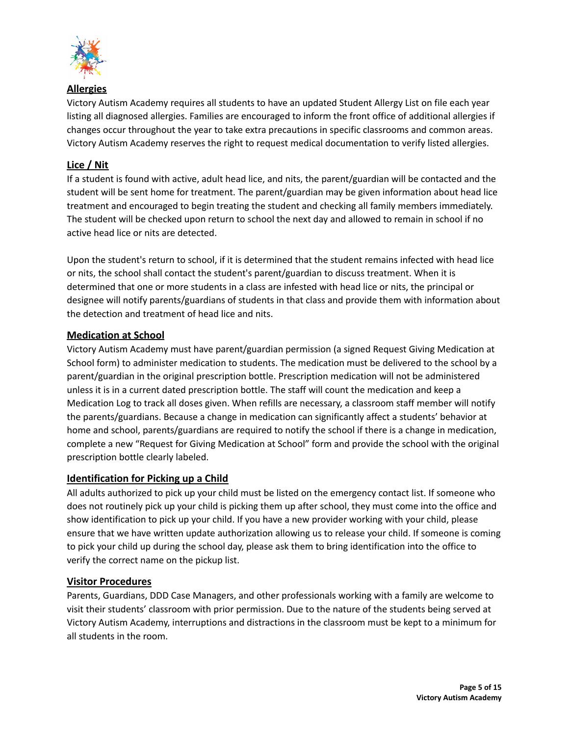

**Allergies**

Victory Autism Academy requires all students to have an updated Student Allergy List on file each year listing all diagnosed allergies. Families are encouraged to inform the front office of additional allergies if changes occur throughout the year to take extra precautions in specific classrooms and common areas. Victory Autism Academy reserves the right to request medical documentation to verify listed allergies.

# **Lice / Nit**

If a student is found with active, adult head lice, and nits, the parent/guardian will be contacted and the student will be sent home for treatment. The parent/guardian may be given information about head lice treatment and encouraged to begin treating the student and checking all family members immediately. The student will be checked upon return to school the next day and allowed to remain in school if no active head lice or nits are detected.

Upon the student's return to school, if it is determined that the student remains infected with head lice or nits, the school shall contact the student's parent/guardian to discuss treatment. When it is determined that one or more students in a class are infested with head lice or nits, the principal or designee will notify parents/guardians of students in that class and provide them with information about the detection and treatment of head lice and nits.

# **Medication at School**

Victory Autism Academy must have parent/guardian permission (a signed Request Giving Medication at School form) to administer medication to students. The medication must be delivered to the school by a parent/guardian in the original prescription bottle. Prescription medication will not be administered unless it is in a current dated prescription bottle. The staff will count the medication and keep a Medication Log to track all doses given. When refills are necessary, a classroom staff member will notify the parents/guardians. Because a change in medication can significantly affect a students' behavior at home and school, parents/guardians are required to notify the school if there is a change in medication, complete a new "Request for Giving Medication at School" form and provide the school with the original prescription bottle clearly labeled.

# **Identification for Picking up a Child**

All adults authorized to pick up your child must be listed on the emergency contact list. If someone who does not routinely pick up your child is picking them up after school, they must come into the office and show identification to pick up your child. If you have a new provider working with your child, please ensure that we have written update authorization allowing us to release your child. If someone is coming to pick your child up during the school day, please ask them to bring identification into the office to verify the correct name on the pickup list.

# **Visitor Procedures**

Parents, Guardians, DDD Case Managers, and other professionals working with a family are welcome to visit their students' classroom with prior permission. Due to the nature of the students being served at Victory Autism Academy, interruptions and distractions in the classroom must be kept to a minimum for all students in the room.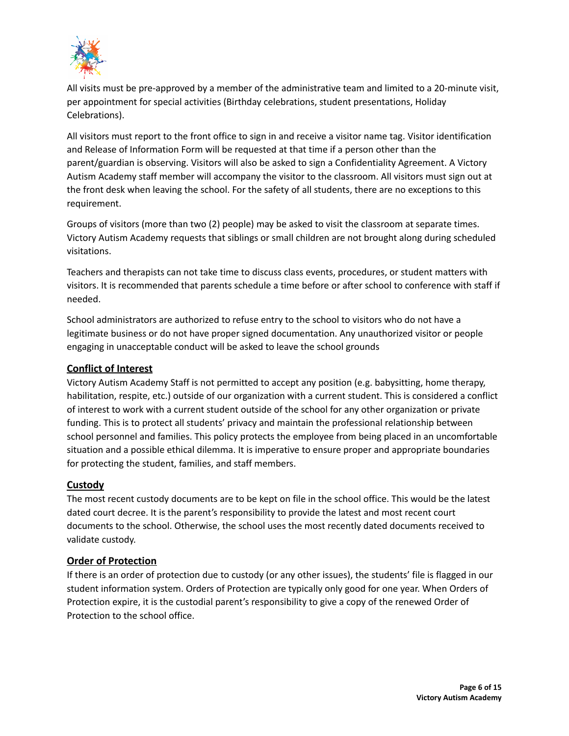

All visits must be pre-approved by a member of the administrative team and limited to a 20-minute visit, per appointment for special activities (Birthday celebrations, student presentations, Holiday Celebrations).

All visitors must report to the front office to sign in and receive a visitor name tag. Visitor identification and Release of Information Form will be requested at that time if a person other than the parent/guardian is observing. Visitors will also be asked to sign a Confidentiality Agreement. A Victory Autism Academy staff member will accompany the visitor to the classroom. All visitors must sign out at the front desk when leaving the school. For the safety of all students, there are no exceptions to this requirement.

Groups of visitors (more than two (2) people) may be asked to visit the classroom at separate times. Victory Autism Academy requests that siblings or small children are not brought along during scheduled visitations.

Teachers and therapists can not take time to discuss class events, procedures, or student matters with visitors. It is recommended that parents schedule a time before or after school to conference with staff if needed.

School administrators are authorized to refuse entry to the school to visitors who do not have a legitimate business or do not have proper signed documentation. Any unauthorized visitor or people engaging in unacceptable conduct will be asked to leave the school grounds

# **Conflict of Interest**

Victory Autism Academy Staff is not permitted to accept any position (e.g. babysitting, home therapy, habilitation, respite, etc.) outside of our organization with a current student. This is considered a conflict of interest to work with a current student outside of the school for any other organization or private funding. This is to protect all students' privacy and maintain the professional relationship between school personnel and families. This policy protects the employee from being placed in an uncomfortable situation and a possible ethical dilemma. It is imperative to ensure proper and appropriate boundaries for protecting the student, families, and staff members.

# **Custody**

The most recent custody documents are to be kept on file in the school office. This would be the latest dated court decree. It is the parent's responsibility to provide the latest and most recent court documents to the school. Otherwise, the school uses the most recently dated documents received to validate custody.

# **Order of Protection**

If there is an order of protection due to custody (or any other issues), the students' file is flagged in our student information system. Orders of Protection are typically only good for one year. When Orders of Protection expire, it is the custodial parent's responsibility to give a copy of the renewed Order of Protection to the school office.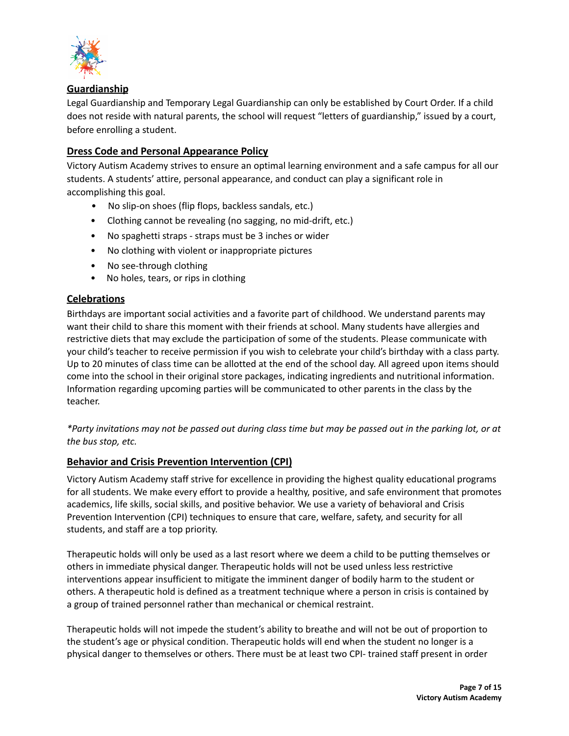

# **Guardianship**

Legal Guardianship and Temporary Legal Guardianship can only be established by Court Order. If a child does not reside with natural parents, the school will request "letters of guardianship," issued by a court, before enrolling a student.

# **Dress Code and Personal Appearance Policy**

Victory Autism Academy strives to ensure an optimal learning environment and a safe campus for all our students. A students' attire, personal appearance, and conduct can play a significant role in accomplishing this goal.

- No slip-on shoes (flip flops, backless sandals, etc.)
- Clothing cannot be revealing (no sagging, no mid-drift, etc.)
- No spaghetti straps straps must be 3 inches or wider
- No clothing with violent or inappropriate pictures
- No see-through clothing
- No holes, tears, or rips in clothing

# **Celebrations**

Birthdays are important social activities and a favorite part of childhood. We understand parents may want their child to share this moment with their friends at school. Many students have allergies and restrictive diets that may exclude the participation of some of the students. Please communicate with your child's teacher to receive permission if you wish to celebrate your child's birthday with a class party. Up to 20 minutes of class time can be allotted at the end of the school day. All agreed upon items should come into the school in their original store packages, indicating ingredients and nutritional information. Information regarding upcoming parties will be communicated to other parents in the class by the teacher.

\*Party invitations may not be passed out during class time but may be passed out in the parking lot, or at *the bus stop, etc.*

# **Behavior and Crisis Prevention Intervention (CPI)**

Victory Autism Academy staff strive for excellence in providing the highest quality educational programs for all students. We make every effort to provide a healthy, positive, and safe environment that promotes academics, life skills, social skills, and positive behavior. We use a variety of behavioral and Crisis Prevention Intervention (CPI) techniques to ensure that care, welfare, safety, and security for all students, and staff are a top priority.

Therapeutic holds will only be used as a last resort where we deem a child to be putting themselves or others in immediate physical danger. Therapeutic holds will not be used unless less restrictive interventions appear insufficient to mitigate the imminent danger of bodily harm to the student or others. A therapeutic hold is defined as a treatment technique where a person in crisis is contained by a group of trained personnel rather than mechanical or chemical restraint.

Therapeutic holds will not impede the student's ability to breathe and will not be out of proportion to the student's age or physical condition. Therapeutic holds will end when the student no longer is a physical danger to themselves or others. There must be at least two CPI- trained staff present in order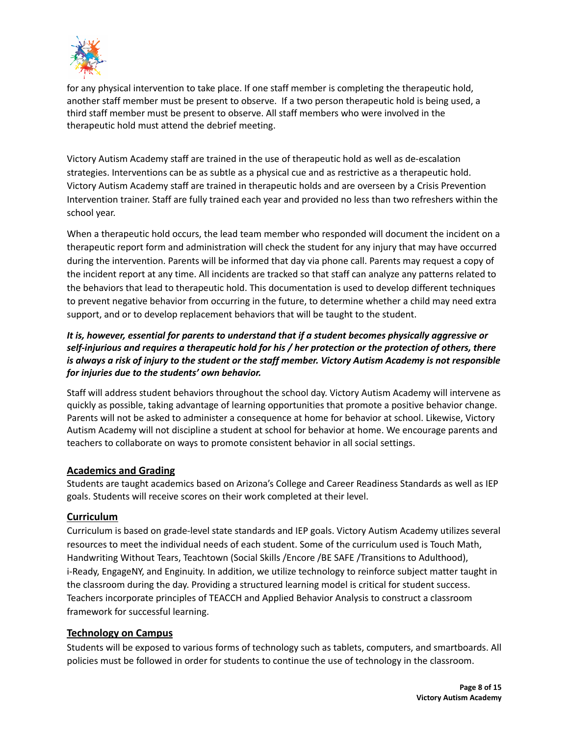

for any physical intervention to take place. If one staff member is completing the therapeutic hold, another staff member must be present to observe. If a two person therapeutic hold is being used, a third staff member must be present to observe. All staff members who were involved in the therapeutic hold must attend the debrief meeting.

Victory Autism Academy staff are trained in the use of therapeutic hold as well as de-escalation strategies. Interventions can be as subtle as a physical cue and as restrictive as a therapeutic hold. Victory Autism Academy staff are trained in therapeutic holds and are overseen by a Crisis Prevention Intervention trainer. Staff are fully trained each year and provided no less than two refreshers within the school year.

When a therapeutic hold occurs, the lead team member who responded will document the incident on a therapeutic report form and administration will check the student for any injury that may have occurred during the intervention. Parents will be informed that day via phone call. Parents may request a copy of the incident report at any time. All incidents are tracked so that staff can analyze any patterns related to the behaviors that lead to therapeutic hold. This documentation is used to develop different techniques to prevent negative behavior from occurring in the future, to determine whether a child may need extra support, and or to develop replacement behaviors that will be taught to the student.

# *It is, however, essential for parents to understand that if a student becomes physically aggressive or* self-injurious and requires a therapeutic hold for his / her protection or the protection of others, there is always a risk of injury to the student or the staff member. Victory Autism Academy is not responsible *for injuries due to the students' own behavior.*

Staff will address student behaviors throughout the school day. Victory Autism Academy will intervene as quickly as possible, taking advantage of learning opportunities that promote a positive behavior change. Parents will not be asked to administer a consequence at home for behavior at school. Likewise, Victory Autism Academy will not discipline a student at school for behavior at home. We encourage parents and teachers to collaborate on ways to promote consistent behavior in all social settings.

# **Academics and Grading**

Students are taught academics based on Arizona's College and Career Readiness Standards as well as IEP goals. Students will receive scores on their work completed at their level.

# **Curriculum**

Curriculum is based on grade-level state standards and IEP goals. Victory Autism Academy utilizes several resources to meet the individual needs of each student. Some of the curriculum used is Touch Math, Handwriting Without Tears, Teachtown (Social Skills /Encore /BE SAFE /Transitions to Adulthood), i-Ready, EngageNY, and Enginuity. In addition, we utilize technology to reinforce subject matter taught in the classroom during the day. Providing a structured learning model is critical for student success. Teachers incorporate principles of TEACCH and Applied Behavior Analysis to construct a classroom framework for successful learning.

# **Technology on Campus**

Students will be exposed to various forms of technology such as tablets, computers, and smartboards. All policies must be followed in order for students to continue the use of technology in the classroom.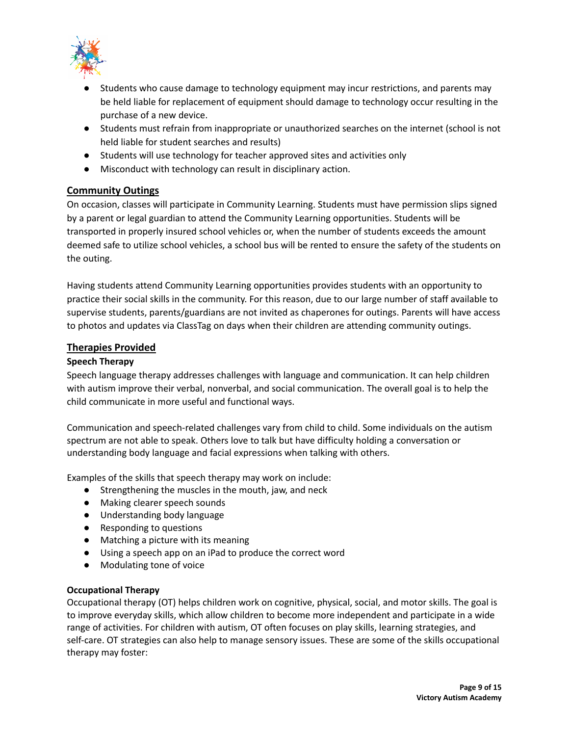

- Students who cause damage to technology equipment may incur restrictions, and parents may be held liable for replacement of equipment should damage to technology occur resulting in the purchase of a new device.
- Students must refrain from inappropriate or unauthorized searches on the internet (school is not held liable for student searches and results)
- Students will use technology for teacher approved sites and activities only
- Misconduct with technology can result in disciplinary action.

# **Community Outings**

On occasion, classes will participate in Community Learning. Students must have permission slips signed by a parent or legal guardian to attend the Community Learning opportunities. Students will be transported in properly insured school vehicles or, when the number of students exceeds the amount deemed safe to utilize school vehicles, a school bus will be rented to ensure the safety of the students on the outing.

Having students attend Community Learning opportunities provides students with an opportunity to practice their social skills in the community. For this reason, due to our large number of staff available to supervise students, parents/guardians are not invited as chaperones for outings. Parents will have access to photos and updates via ClassTag on days when their children are attending community outings.

# **Therapies Provided**

# **Speech Therapy**

Speech language therapy addresses challenges with language and communication. It can help children with autism improve their verbal, nonverbal, and social communication. The overall goal is to help the child communicate in more useful and functional ways.

Communication and speech-related challenges vary from child to child. Some individuals on the autism spectrum are not able to speak. Others love to talk but have difficulty holding a conversation or understanding body language and facial expressions when talking with others.

Examples of the skills that speech therapy may work on include:

- Strengthening the muscles in the mouth, jaw, and neck
- Making clearer speech sounds
- Understanding body language
- Responding to questions
- Matching a picture with its meaning
- Using a speech app on an iPad to produce the correct word
- Modulating tone of voice

# **Occupational Therapy**

Occupational therapy (OT) helps children work on cognitive, physical, social, and motor skills. The goal is to improve everyday skills, which allow children to become more independent and participate in a wide range of activities. For children with autism, OT often focuses on play skills, learning strategies, and self-care. OT strategies can also help to manage sensory issues. These are some of the skills occupational therapy may foster: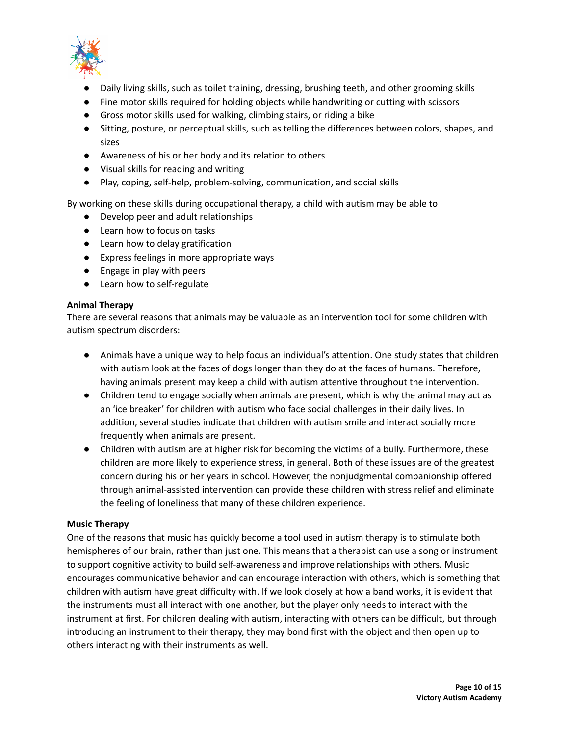

- **Daily living skills, such as toilet training, dressing, brushing teeth, and other grooming skills**
- Fine motor skills required for holding objects while handwriting or cutting with scissors
- Gross motor skills used for walking, climbing stairs, or riding a bike
- Sitting, posture, or perceptual skills, such as telling the differences between colors, shapes, and sizes
- Awareness of his or her body and its relation to others
- Visual skills for reading and writing
- Play, coping, self-help, problem-solving, communication, and social skills

By working on these skills during occupational therapy, a child with autism may be able to

- Develop peer and adult relationships
- Learn how to focus on tasks
- Learn how to delay gratification
- Express feelings in more appropriate ways
- Engage in play with peers
- Learn how to self-regulate

# **Animal Therapy**

There are several reasons that animals may be valuable as an intervention tool for some children with autism spectrum disorders:

- Animals have a unique way to help focus an individual's attention. One study states that children with autism look at the faces of dogs longer than they do at the faces of humans. Therefore, having animals present may keep a child with autism attentive throughout the intervention.
- Children tend to engage socially when animals are present, which is why the animal may act as an 'ice breaker' for children with autism who face social challenges in their daily lives. In addition, several studies indicate that children with autism smile and interact socially more frequently when animals are present.
- Children with autism are at higher risk for becoming the victims of a bully. Furthermore, these children are more likely to experience stress, in general. Both of these issues are of the greatest concern during his or her years in school. However, the nonjudgmental companionship offered through animal-assisted intervention can provide these children with stress relief and eliminate the feeling of loneliness that many of these children experience.

#### **Music Therapy**

One of the reasons that music has quickly become a tool used in autism therapy is to stimulate both hemispheres of our brain, rather than just one. This means that a therapist can use a song or instrument to support cognitive activity to build self-awareness and improve relationships with others. Music encourages communicative behavior and can encourage interaction with others, which is something that children with autism have great difficulty with. If we look closely at how a band works, it is evident that the instruments must all interact with one another, but the player only needs to interact with the instrument at first. For children dealing with autism, interacting with others can be difficult, but through introducing an instrument to their therapy, they may bond first with the object and then open up to others interacting with their instruments as well.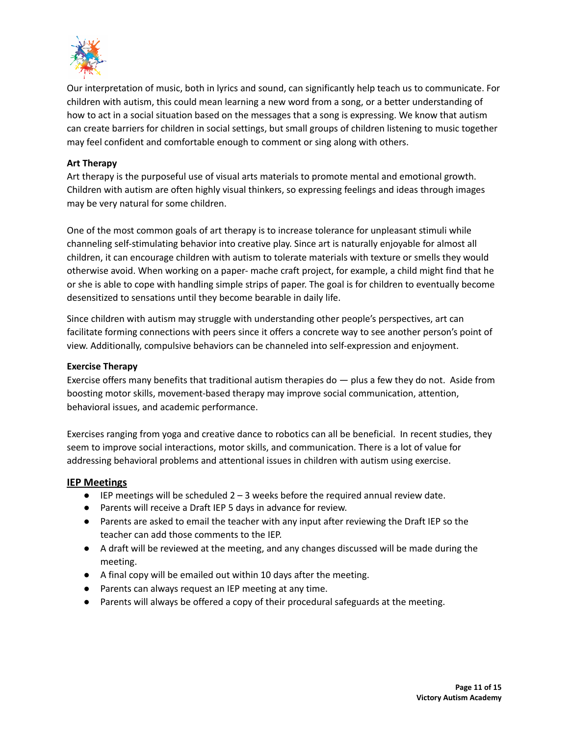

Our interpretation of music, both in lyrics and sound, can significantly help teach us to communicate. For children with autism, this could mean learning a new word from a song, or a better understanding of how to act in a social situation based on the messages that a song is expressing. We know that autism can create barriers for children in social settings, but small groups of children listening to music together may feel confident and comfortable enough to comment or sing along with others.

#### **Art Therapy**

Art therapy is the purposeful use of visual arts materials to promote mental and emotional growth. Children with autism are often highly visual thinkers, so expressing feelings and ideas through images may be very natural for some children.

One of the most common goals of art therapy is to increase tolerance for unpleasant stimuli while channeling self-stimulating behavior into creative play. Since art is naturally enjoyable for almost all children, it can encourage children with autism to tolerate materials with texture or smells they would otherwise avoid. When working on a paper- mache craft project, for example, a child might find that he or she is able to cope with handling simple strips of paper. The goal is for children to eventually become desensitized to sensations until they become bearable in daily life.

Since children with autism may struggle with understanding other people's perspectives, art can facilitate forming connections with peers since it offers a concrete way to see another person's point of view. Additionally, compulsive behaviors can be channeled into self-expression and enjoyment.

#### **Exercise Therapy**

Exercise offers many benefits that traditional autism therapies do — plus a few they do not. Aside from boosting motor skills, movement-based therapy may improve social communication, attention, behavioral issues, and academic performance.

Exercises ranging from yoga and creative dance to robotics can all be beneficial. In recent studies, they seem to improve social interactions, motor skills, and communication. There is a lot of value for addressing behavioral problems and attentional issues in children with autism using exercise.

#### **IEP Meetings**

- $\bullet$  IEP meetings will be scheduled  $2 3$  weeks before the required annual review date.
- Parents will receive a Draft IEP 5 days in advance for review.
- Parents are asked to email the teacher with any input after reviewing the Draft IEP so the teacher can add those comments to the IEP.
- A draft will be reviewed at the meeting, and any changes discussed will be made during the meeting.
- A final copy will be emailed out within 10 days after the meeting.
- Parents can always request an IEP meeting at any time.
- Parents will always be offered a copy of their procedural safeguards at the meeting.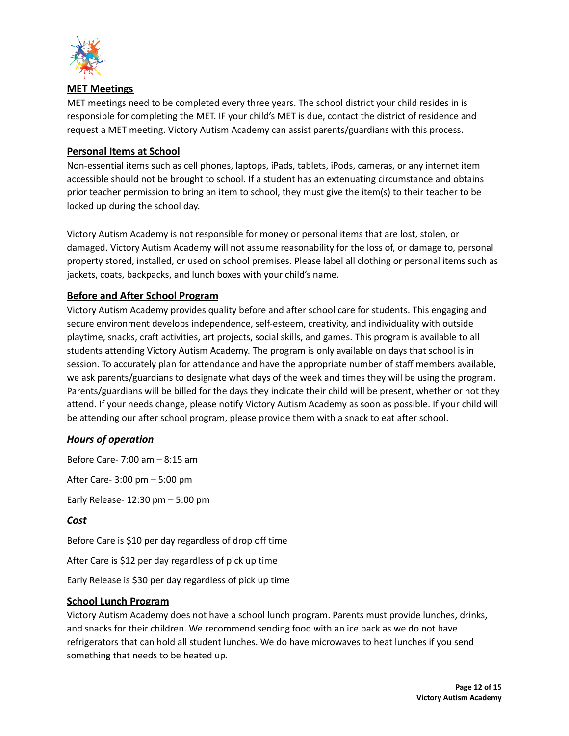

#### **MET Meetings**

MET meetings need to be completed every three years. The school district your child resides in is responsible for completing the MET. IF your child's MET is due, contact the district of residence and request a MET meeting. Victory Autism Academy can assist parents/guardians with this process.

#### **Personal Items at School**

Non-essential items such as cell phones, laptops, iPads, tablets, iPods, cameras, or any internet item accessible should not be brought to school. If a student has an extenuating circumstance and obtains prior teacher permission to bring an item to school, they must give the item(s) to their teacher to be locked up during the school day.

Victory Autism Academy is not responsible for money or personal items that are lost, stolen, or damaged. Victory Autism Academy will not assume reasonability for the loss of, or damage to, personal property stored, installed, or used on school premises. Please label all clothing or personal items such as jackets, coats, backpacks, and lunch boxes with your child's name.

# **Before and After School Program**

Victory Autism Academy provides quality before and after school care for students. This engaging and secure environment develops independence, self-esteem, creativity, and individuality with outside playtime, snacks, craft activities, art projects, social skills, and games. This program is available to all students attending Victory Autism Academy. The program is only available on days that school is in session. To accurately plan for attendance and have the appropriate number of staff members available, we ask parents/guardians to designate what days of the week and times they will be using the program. Parents/guardians will be billed for the days they indicate their child will be present, whether or not they attend. If your needs change, please notify Victory Autism Academy as soon as possible. If your child will be attending our after school program, please provide them with a snack to eat after school.

# *Hours of operation*

Before Care- 7:00 am – 8:15 am

After Care- 3:00 pm – 5:00 pm

Early Release- 12:30 pm – 5:00 pm

#### *Cost*

Before Care is \$10 per day regardless of drop off time

After Care is \$12 per day regardless of pick up time

Early Release is \$30 per day regardless of pick up time

#### **School Lunch Program**

Victory Autism Academy does not have a school lunch program. Parents must provide lunches, drinks, and snacks for their children. We recommend sending food with an ice pack as we do not have refrigerators that can hold all student lunches. We do have microwaves to heat lunches if you send something that needs to be heated up.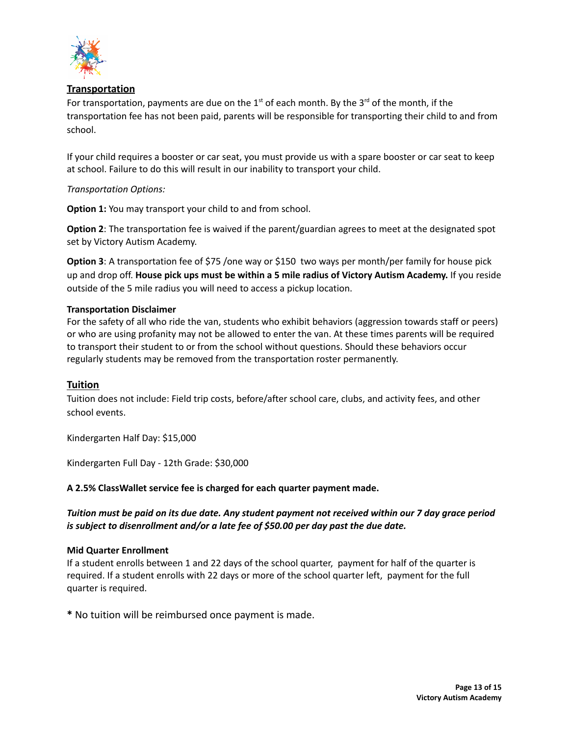

# **Transportation**

For transportation, payments are due on the 1<sup>st</sup> of each month. By the 3<sup>rd</sup> of the month, if the transportation fee has not been paid, parents will be responsible for transporting their child to and from school.

If your child requires a booster or car seat, you must provide us with a spare booster or car seat to keep at school. Failure to do this will result in our inability to transport your child.

#### *Transportation Options:*

**Option 1:** You may transport your child to and from school.

**Option 2**: The transportation fee is waived if the parent/guardian agrees to meet at the designated spot set by Victory Autism Academy.

**Option 3**: A transportation fee of \$75 /one way or \$150 two ways per month/per family for house pick up and drop off. **House pick ups must be within a 5 mile radius of Victory Autism Academy.** If you reside outside of the 5 mile radius you will need to access a pickup location.

#### **Transportation Disclaimer**

For the safety of all who ride the van, students who exhibit behaviors (aggression towards staff or peers) or who are using profanity may not be allowed to enter the van. At these times parents will be required to transport their student to or from the school without questions. Should these behaviors occur regularly students may be removed from the transportation roster permanently.

#### **Tuition**

Tuition does not include: Field trip costs, before/after school care, clubs, and activity fees, and other school events.

Kindergarten Half Day: \$15,000

Kindergarten Full Day - 12th Grade: \$30,000

#### **A 2.5% ClassWallet service fee is charged for each quarter payment made.**

Tuition must be paid on its due date. Any student payment not received within our 7 day grace period *is subject to disenrollment and/or a late fee of \$50.00 per day past the due date.*

#### **Mid Quarter Enrollment**

If a student enrolls between 1 and 22 days of the school quarter, payment for half of the quarter is required. If a student enrolls with 22 days or more of the school quarter left, payment for the full quarter is required.

**\*** No tuition will be reimbursed once payment is made.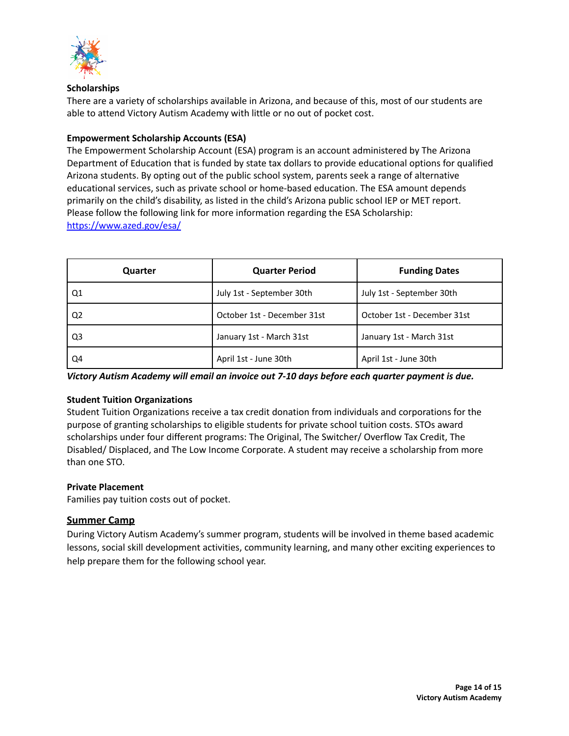

#### **Scholarships**

There are a variety of scholarships available in Arizona, and because of this, most of our students are able to attend Victory Autism Academy with little or no out of pocket cost.

#### **Empowerment Scholarship Accounts (ESA)**

The Empowerment Scholarship Account (ESA) program is an account administered by The Arizona Department of Education that is funded by state tax dollars to provide educational options for qualified Arizona students. By opting out of the public school system, parents seek a range of alternative educational services, such as private school or home-based education. The ESA amount depends primarily on the child's disability, as listed in the child's Arizona public school IEP or MET report. Please follow the following link for more information regarding the ESA Scholarship: <https://www.azed.gov/esa/>

| Quarter        | <b>Quarter Period</b>       | <b>Funding Dates</b>        |
|----------------|-----------------------------|-----------------------------|
| Q1             | July 1st - September 30th   | July 1st - September 30th   |
| Q <sub>2</sub> | October 1st - December 31st | October 1st - December 31st |
| Q <sub>3</sub> | January 1st - March 31st    | January 1st - March 31st    |
| Q4             | April 1st - June 30th       | April 1st - June 30th       |

*Victory Autism Academy will email an invoice out 7-10 days before each quarter payment is due.*

#### **Student Tuition Organizations**

Student Tuition Organizations receive a tax credit donation from individuals and corporations for the purpose of granting scholarships to eligible students for private school tuition costs. STOs award scholarships under four different programs: The Original, The Switcher/ Overflow Tax Credit, The Disabled/ Displaced, and The Low Income Corporate. A student may receive a scholarship from more than one STO.

#### **Private Placement**

Families pay tuition costs out of pocket.

# **Summer Camp**

During Victory Autism Academy's summer program, students will be involved in theme based academic lessons, social skill development activities, community learning, and many other exciting experiences to help prepare them for the following school year.